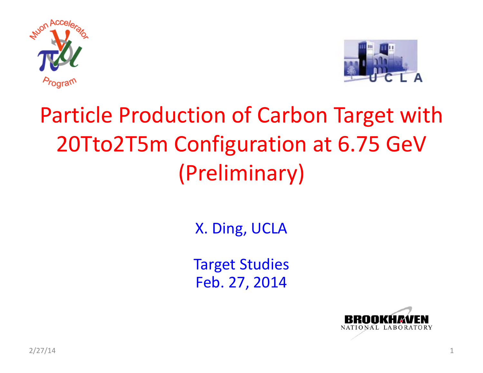



# Particle Production of Carbon Target with 20Tto2T5m Configuration at 6.75 GeV (Preliminary)

X. Ding, UCLA

Target Studies Feb. 27, 2014

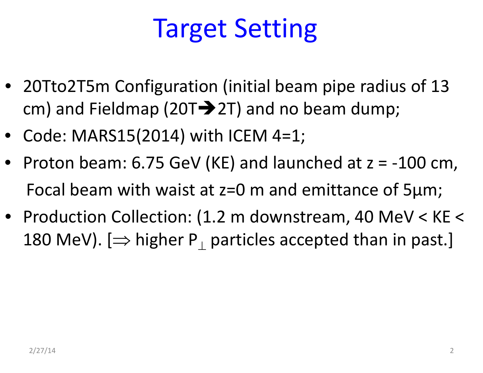# Target Setting

- 20Tto2T5m Configuration (initial beam pipe radius of 13 cm) and Fieldmap (20T $\rightarrow$ 2T) and no beam dump;
- Code: MARS15(2014) with ICEM 4=1;
- Proton beam: 6.75 GeV (KE) and launched at <sup>z</sup> <sup>=</sup> ‐100 cm, Focal beam with waist at z=0 <sup>m</sup> and emittance of 5μm;
- Production Collection: (1.2 <sup>m</sup> downstream, 40 MeV <sup>&</sup>lt; KE <sup>&</sup>lt; 180 MeV). [ $\Rightarrow$  higher <code>P $_{\perp}$  particles</code> accepted than in past.]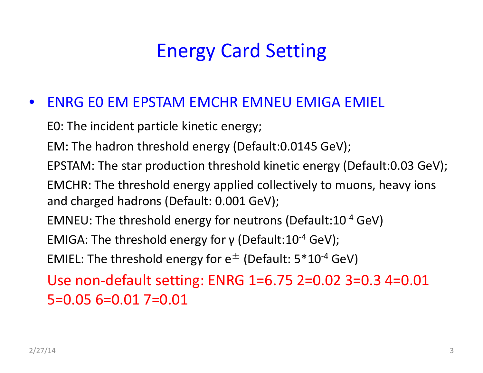## Energy Card Setting

#### $\bullet$ ENRG E0 EM EPSTAM EMCHR EMNEU EMIGA EMIEL

E0: The incident particle kinetic energy;

EM: The hadron threshold energy (Default:0.0145 GeV);

EPSTAM: The star production threshold kinetic energy (Default:0.03 GeV);

EMCHR: The threshold energy applied collectively to muons, heavy ions and charged hadrons (Default: 0.001 GeV);

<code>EMNEU:</code> The threshold energy for neutrons (Default:10<sup>-4</sup> GeV)

EMIGA: The threshold energy for γ (Default:10<sup>-4</sup> GeV);

EMIEL: The threshold energy for  $\mathsf{e}^\pm$  (Default: 5\*10<sup>-4</sup> GeV)

Use non‐default setting: ENRG 1=6.75 2=0.02 3=0.3 4=0.01 5=0.05 6=0.01 7=0.01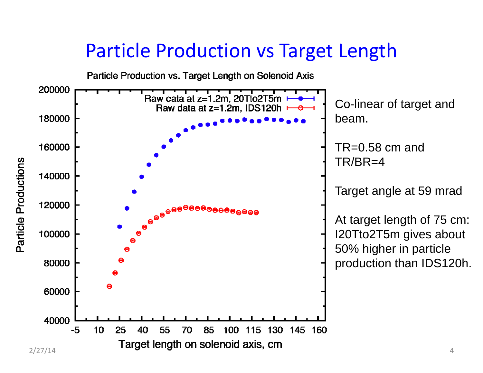### Particle Production vs Target Length

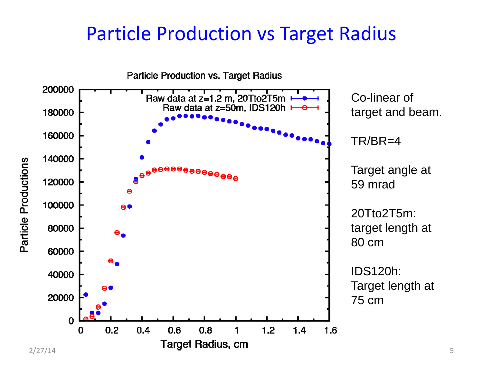### Particle Production vs Target Radius